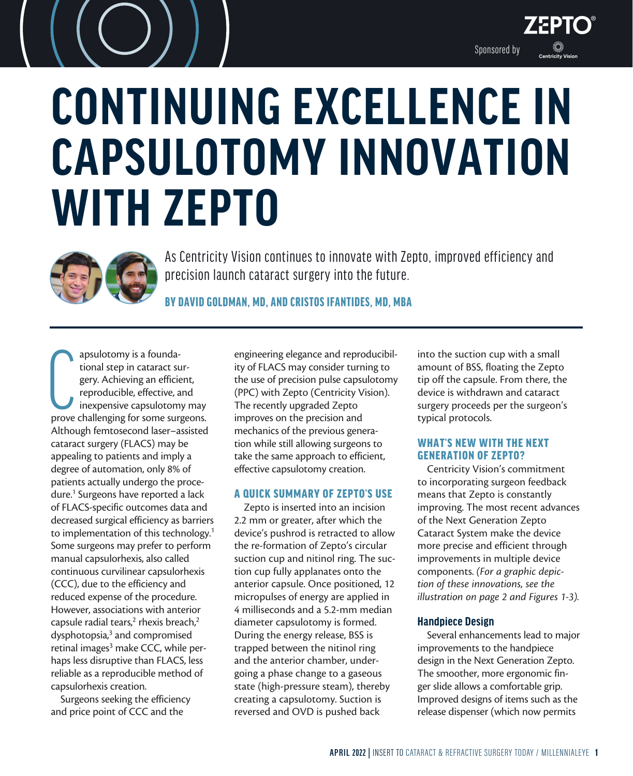

# **CONTINUING EXCELLENCE IN CAPSULOTOMY INNOVATION WITH ZEPTO**



As Centricity Vision continues to innovate with Zepto, improved efficiency and precision launch cataract surgery into the future.

BY DAVID GOLDMAN, MD, AND CRISTOS IFANTIDES, MD, MBA

apsulotomy is a founda-<br>tional step in cataract sur-<br>gery. Achieving an efficient,<br>reproducible, effective, and<br>inexpensive capsulotomy may<br>prove challenging for some surgeons. apsulotomy is a foundational step in cataract surgery. Achieving an efficient, reproducible, effective, and inexpensive capsulotomy may Although femtosecond laser–assisted cataract surgery (FLACS) may be appealing to patients and imply a degree of automation, only 8% of patients actually undergo the procedure.<sup>1</sup> Surgeons have reported a lack of FLACS-specific outcomes data and decreased surgical efficiency as barriers to implementation of this technology.<sup>1</sup> Some surgeons may prefer to perform manual capsulorhexis, also called continuous curvilinear capsulorhexis (CCC), due to the efficiency and reduced expense of the procedure. However, associations with anterior capsule radial tears,<sup>2</sup> rhexis breach,<sup>2</sup> dysphotopsia,<sup>3</sup> and compromised retinal images<sup>3</sup> make CCC, while perhaps less disruptive than FLACS, less reliable as a reproducible method of capsulorhexis creation.

Surgeons seeking the efficiency and price point of CCC and the

engineering elegance and reproducibility of FLACS may consider turning to the use of precision pulse capsulotomy (PPC) with Zepto (Centricity Vision). The recently upgraded Zepto improves on the precision and mechanics of the previous generation while still allowing surgeons to take the same approach to efficient, effective capsulotomy creation.

### A QUICK SUMMARY OF ZEPTO'S USE

Zepto is inserted into an incision 2.2 mm or greater, after which the device's pushrod is retracted to allow the re-formation of Zepto's circular suction cup and nitinol ring. The suction cup fully applanates onto the anterior capsule. Once positioned, 12 micropulses of energy are applied in 4 milliseconds and a 5.2-mm median diameter capsulotomy is formed. During the energy release, BSS is trapped between the nitinol ring and the anterior chamber, undergoing a phase change to a gaseous state (high-pressure steam), thereby creating a capsulotomy. Suction is reversed and OVD is pushed back

into the suction cup with a small amount of BSS, floating the Zepto tip off the capsule. From there, the device is withdrawn and cataract surgery proceeds per the surgeon's typical protocols.

## WHAT'S NEW WITH THE NEXT GENERATION OF ZEPTO?

Centricity Vision's commitment to incorporating surgeon feedback means that Zepto is constantly improving. The most recent advances of the Next Generation Zepto Cataract System make the device more precise and efficient through improvements in multiple device components. *(For a graphic depiction of these innovations, see the illustration on page 2 and Figures 1-3).*

## **Handpiece Design**

Several enhancements lead to major improvements to the handpiece design in the Next Generation Zepto. The smoother, more ergonomic finger slide allows a comfortable grip. Improved designs of items such as the release dispenser (which now permits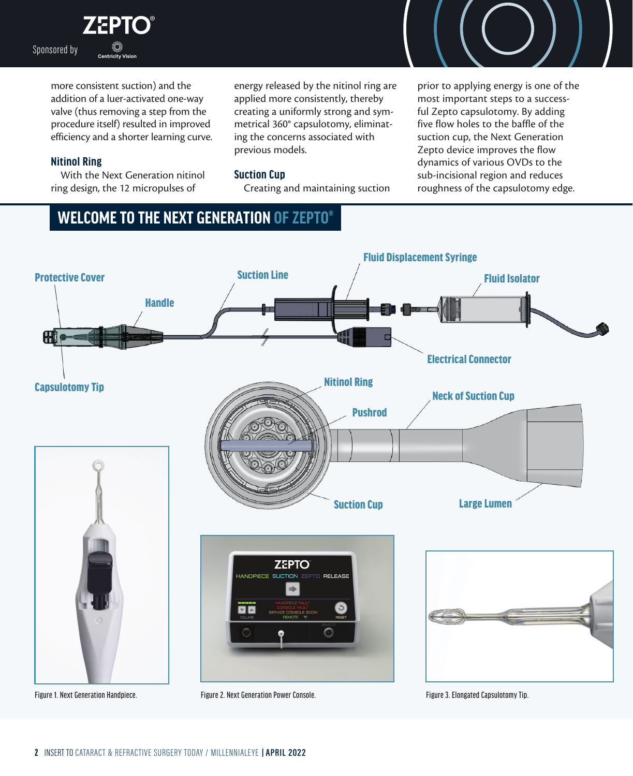**ZEPTO®** Sponsored by

> more consistent suction) and the addition of a luer-activated one-way valve (thus removing a step from the procedure itself) resulted in improved efficiency and a shorter learning curve.

## **Nitinol Ring**

With the Next Generation nitinol ring design, the 12 micropulses of

energy released by the nitinol ring are applied more consistently, thereby creating a uniformly strong and symmetrical 360° capsulotomy, eliminating the concerns associated with previous models.

## **Suction Cup**

Creating and maintaining suction

prior to applying energy is one of the most important steps to a successful Zepto capsulotomy. By adding five flow holes to the baffle of the suction cup, the Next Generation Zepto device improves the flow dynamics of various OVDs to the sub-incisional region and reduces roughness of the capsulotomy edge.

# **WELCOME TO THE NEXT GENERATION OF ZEPTO®**

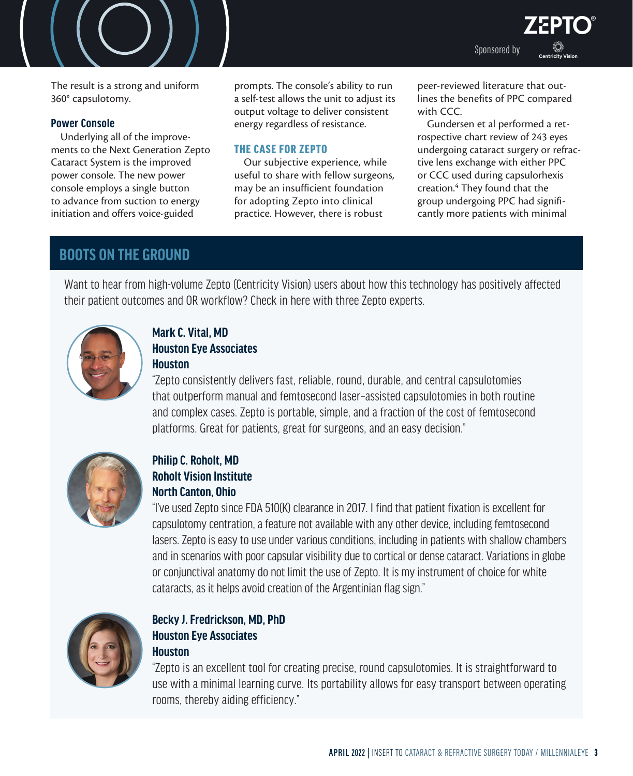The result is a strong and uniform 360° capsulotomy.

## **Power Console**

Underlying all of the improvements to the Next Generation Zepto Cataract System is the improved power console. The new power console employs a single button to advance from suction to energy initiation and offers voice-guided

prompts. The console's ability to run a self-test allows the unit to adjust its output voltage to deliver consistent energy regardless of resistance.

## THE CASE FOR ZEPTO

Our subjective experience, while useful to share with fellow surgeons, may be an insufficient foundation for adopting Zepto into clinical practice. However, there is robust

peer-reviewed literature that outlines the benefits of PPC compared with CCC.

Sponsored by

**EPTO** 

Gundersen et al performed a retrospective chart review of 243 eyes undergoing cataract surgery or refractive lens exchange with either PPC or CCC used during capsulorhexis creation.4 They found that the group undergoing PPC had significantly more patients with minimal

# **BOOTS ON THE GROUND**

Want to hear from high-volume Zepto (Centricity Vision) users about how this technology has positively affected their patient outcomes and OR workflow? Check in here with three Zepto experts.



## **Mark C. Vital, MD Houston Eye Associates Houston**

"Zepto consistently delivers fast, reliable, round, durable, and central capsulotomies that outperform manual and femtosecond laser–assisted capsulotomies in both routine and complex cases. Zepto is portable, simple, and a fraction of the cost of femtosecond platforms. Great for patients, great for surgeons, and an easy decision."



## **Philip C. Roholt, MD Roholt Vision Institute North Canton, Ohio**

"I've used Zepto since FDA 510(K) clearance in 2017. I find that patient fixation is excellent for capsulotomy centration, a feature not available with any other device, including femtosecond lasers. Zepto is easy to use under various conditions, including in patients with shallow chambers and in scenarios with poor capsular visibility due to cortical or dense cataract. Variations in globe or conjunctival anatomy do not limit the use of Zepto. It is my instrument of choice for white cataracts, as it helps avoid creation of the Argentinian flag sign."



## **Becky J. Fredrickson, MD, PhD Houston Eye Associates Houston**

"Zepto is an excellent tool for creating precise, round capsulotomies. It is straightforward to use with a minimal learning curve. Its portability allows for easy transport between operating rooms, thereby aiding efficiency."